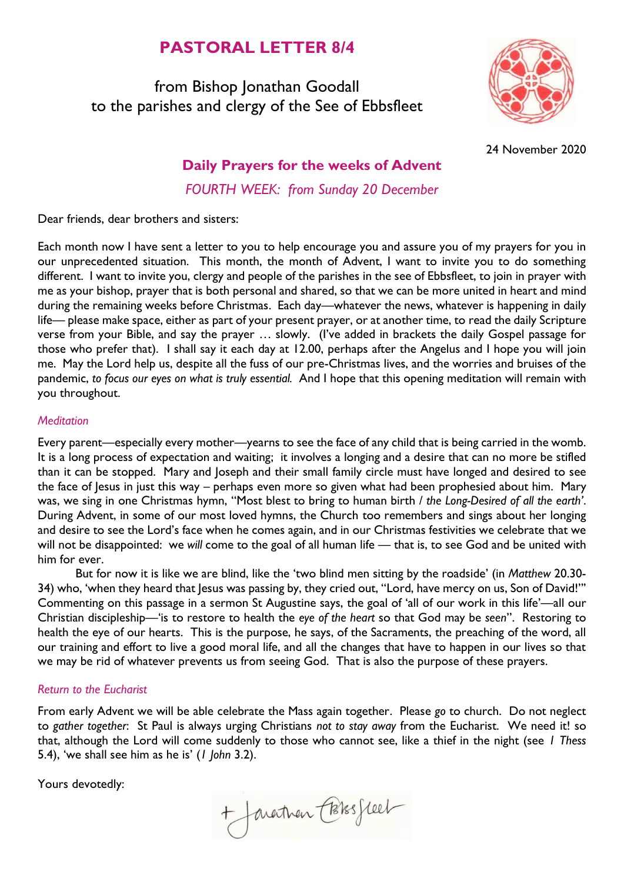# **PASTORAL LETTER 8/4**

from Bishop Jonathan Goodall to the parishes and clergy of the See of Ebbsfleet



24 November 2020

## **Daily Prayers for the weeks of Advent**

*FOURTH WEEK: from Sunday 20 December*

Dear friends, dear brothers and sisters:

Each month now I have sent a letter to you to help encourage you and assure you of my prayers for you in our unprecedented situation. This month, the month of Advent, I want to invite you to do something different. I want to invite you, clergy and people of the parishes in the see of Ebbsfleet, to join in prayer with me as your bishop, prayer that is both personal and shared, so that we can be more united in heart and mind during the remaining weeks before Christmas. Each day—whatever the news, whatever is happening in daily life— please make space, either as part of your present prayer, or at another time, to read the daily Scripture verse from your Bible, and say the prayer … slowly. (I've added in brackets the daily Gospel passage for those who prefer that). I shall say it each day at 12.00, perhaps after the Angelus and I hope you will join me. May the Lord help us, despite all the fuss of our pre-Christmas lives, and the worries and bruises of the pandemic, *to focus our eyes on what is truly essential.* And I hope that this opening meditation will remain with you throughout.

#### *Meditation*

Every parent—especially every mother—yearns to see the face of any child that is being carried in the womb. It is a long process of expectation and waiting; it involves a longing and a desire that can no more be stifled than it can be stopped. Mary and Joseph and their small family circle must have longed and desired to see the face of Jesus in just this way – perhaps even more so given what had been prophesied about him. Mary was, we sing in one Christmas hymn, "Most blest to bring to human birth / *the Long-Desired of all the earth'*. During Advent, in some of our most loved hymns, the Church too remembers and sings about her longing and desire to see the Lord's face when he comes again, and in our Christmas festivities we celebrate that we will not be disappointed: we *will* come to the goal of all human life — that is, to see God and be united with him for ever.

But for now it is like we are blind, like the 'two blind men sitting by the roadside' (in *Matthew* 20.30- 34) who, 'when they heard that Jesus was passing by, they cried out, "Lord, have mercy on us, Son of David!"' Commenting on this passage in a sermon St Augustine says, the goal of 'all of our work in this life'—all our Christian discipleship—'is to restore to health the *eye of the heart* so that God may be *seen*". Restoring to health the eye of our hearts. This is the purpose, he says, of the Sacraments, the preaching of the word, all our training and effort to live a good moral life, and all the changes that have to happen in our lives so that we may be rid of whatever prevents us from seeing God. That is also the purpose of these prayers.

#### *Return to the Eucharist*

From early Advent we will be able celebrate the Mass again together. Please *go* to church. Do not neglect to *gather together*: St Paul is always urging Christians *not to stay away* from the Eucharist. We need it! so that, although the Lord will come suddenly to those who cannot see, like a thief in the night (see *1 Thess* 5.4), 'we shall see him as he is' (*1 John* 3.2).

Yours devotedly:

+ Javartnen Cossesseel